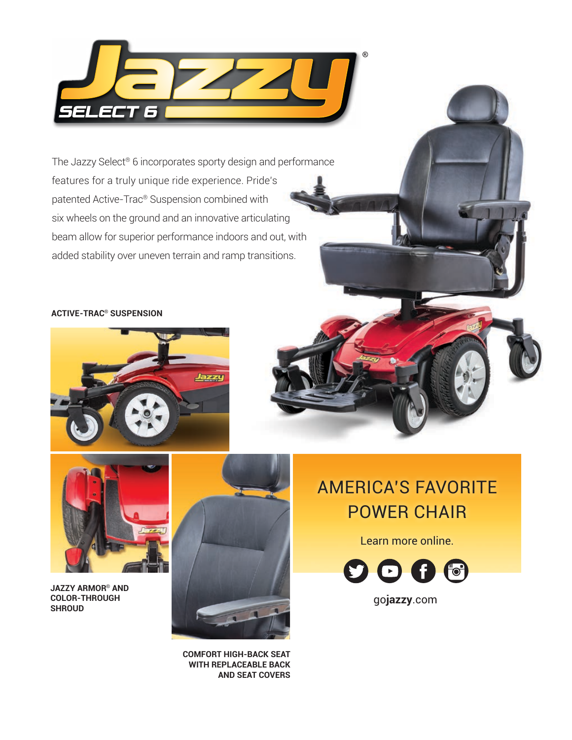

The Jazzy Select® 6 incorporates sporty design and performance features for a truly unique ride experience. Pride's patented Active-Trac® Suspension combined with six wheels on the ground and an innovative articulating beam allow for superior performance indoors and out, with added stability over uneven terrain and ramp transitions.

#### **ACTIVE-TRAC**® **SUSPENSION**





**JAZZY ARMOR**® **AND COLOR-THROUGH SHROUD**



**COMFORT HIGH-BACK SEAT WITH REPLACEABLE BACK AND SEAT COVERS**

### AMERICA'S FAVORITE POWER CHAIR

Learn more online.



go**jazzy**.com